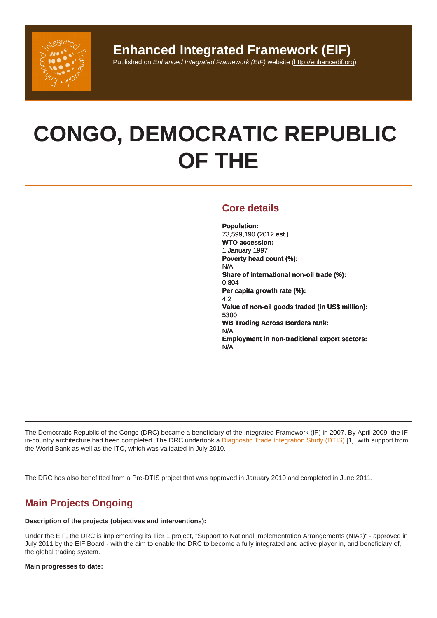# CONGO, DEMOCRATIC REPUBLIC OF THE

## Core details

Population: 73,599,190 (2012 est.) WTO accession: 1 January 1997 Poverty head count (%): N/A Share of international non-oil trade (%): 0.804 Per capita growth rate (%): 4.2 Value of non-oil goods traded (in US\$ million): 5300 WB Trading Across Borders rank: N/A Employment in non-traditional export sectors: N/A

The Democratic Republic of the Congo (DRC) became a beneficiary of the Integrated Framework (IF) in 2007. By April 2009, the IF in-country architecture had been completed. The DRC undertook a Diagnostic Trade Integration Study (DTIS) [1], with support from the World Bank as well as the ITC, which was validated in July 2010.

The DRC has also benefitted from a Pre-DTIS project that was app[roved in January 2010 and completed in Ju](http://enhancedif.org/en/system/files/uploads/drc_dtis_e_august2010.pdf)ne 2011.

# Main Projects Ongoing

Description of the projects (objectives and interventions):

Under the EIF, the DRC is implementing its Tier 1 project, "Support to National Implementation Arrangements (NIAs)" - approved in July 2011 by the EIF Board - with the aim to enable the DRC to become a fully integrated and active player in, and beneficiary of, the global trading system.

Main progresses to date: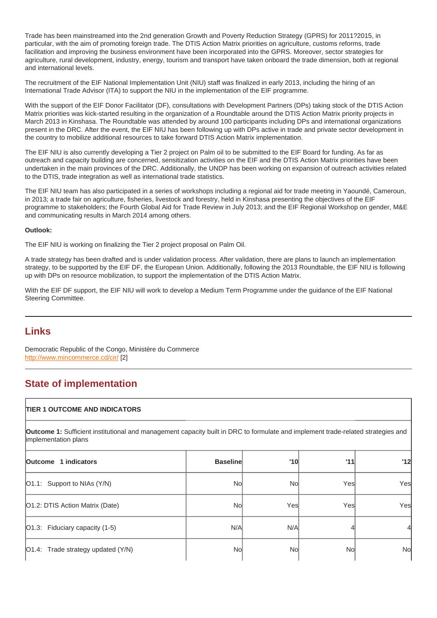Trade has been mainstreamed into the 2nd generation Growth and Poverty Reduction Strategy (GPRS) for 2011?2015, in particular, with the aim of promoting foreign trade. The DTIS Action Matrix priorities on agriculture, customs reforms, trade facilitation and improving the business environment have been incorporated into the GPRS. Moreover, sector strategies for agriculture, rural development, industry, energy, tourism and transport have taken onboard the trade dimension, both at regional and international levels.

The recruitment of the EIF National Implementation Unit (NIU) staff was finalized in early 2013, including the hiring of an International Trade Advisor (ITA) to support the NIU in the implementation of the EIF programme.

With the support of the EIF Donor Facilitator (DF), consultations with Development Partners (DPs) taking stock of the DTIS Action Matrix priorities was kick-started resulting in the organization of a Roundtable around the DTIS Action Matrix priority projects in March 2013 in Kinshasa. The Roundtable was attended by around 100 participants including DPs and international organizations present in the DRC. After the event, the EIF NIU has been following up with DPs active in trade and private sector development in the country to mobilize additional resources to take forward DTIS Action Matrix implementation.

The EIF NIU is also currently developing a Tier 2 project on Palm oil to be submitted to the EIF Board for funding. As far as outreach and capacity building are concerned, sensitization activities on the EIF and the DTIS Action Matrix priorities have been undertaken in the main provinces of the DRC. Additionally, the UNDP has been working on expansion of outreach activities related to the DTIS, trade integration as well as international trade statistics.

The EIF NIU team has also participated in a series of workshops including a regional aid for trade meeting in Yaoundé, Cameroun, in 2013; a trade fair on agriculture, fisheries, livestock and forestry, held in Kinshasa presenting the objectives of the EIF programme to stakeholders; the Fourth Global Aid for Trade Review in July 2013; and the EIF Regional Workshop on gender, M&E and communicating results in March 2014 among others.

Outlook:

The EIF NIU is working on finalizing the Tier 2 project proposal on Palm Oil.

A trade strategy has been drafted and is under validation process. After validation, there are plans to launch an implementation strategy, to be supported by the EIF DF, the European Union. Additionally, following the 2013 Roundtable, the EIF NIU is following up with DPs on resource mobilization, to support the implementation of the DTIS Action Matrix.

With the EIF DF support, the EIF NIU will work to develop a Medium Term Programme under the guidance of the EIF National Steering Committee.

## Links

Democratic Republic of the Congo, Ministère du Commerce http://www.mincommerce.cd/cir/ [2]

# State of implementation

| <b>TIER 1 OUTCOME AND INDICATORS</b>                                                                                                                     |                 |      |     |     |
|----------------------------------------------------------------------------------------------------------------------------------------------------------|-----------------|------|-----|-----|
| Outcome 1: Sufficient institutional and management capacity built in DRC to formulate and implement trade-related strategies and<br>implementation plans |                 |      |     |     |
| Outcome 1 indicators                                                                                                                                     | <b>Baseline</b> | '10  | '11 | '12 |
| O1.1: Support to NIAs (Y/N)                                                                                                                              | No              | No   | Yes | Yes |
| O1.2: DTIS Action Matrix (Date)                                                                                                                          | Nol             | Yesl | Yes | Yes |
| O1.3: Fiduciary capacity (1-5)                                                                                                                           | N/A             | N/A  |     | 4   |
| O1.4: Trade strategy updated (Y/N)                                                                                                                       | No              | Nol  | No  | No  |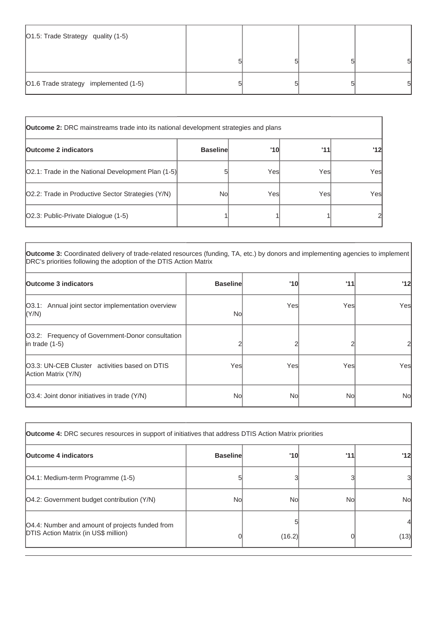| O1.5: Trade Strategy quality (1-5)    |  |   |
|---------------------------------------|--|---|
|                                       |  | 5 |
| O1.6 Trade strategy implemented (1-5) |  | 5 |

| <b>Outcome 2:</b> DRC mainstreams trade into its national development strategies and plans |                 |      |      |     |
|--------------------------------------------------------------------------------------------|-----------------|------|------|-----|
| <b>Outcome 2 indicators</b>                                                                | <b>Baseline</b> | '10  | 111  | '12 |
| [O2.1: Trade in the National Development Plan (1-5)]                                       | 5               | Yesl | Yesl | Yes |
| O2.2: Trade in Productive Sector Strategies (Y/N)                                          | Nol             | Yesl | Yesl | Yes |
| [O2.3: Public-Private Dialogue (1-5)                                                       |                 |      |      | 2   |

**Outcome 3:** Coordinated delivery of trade-related resources (funding, TA, etc.) by donors and implementing agencies to implement DRC's priorities following the adoption of the DTIS Action Matrix

| <b>Outcome 3 indicators</b>                                              | <b>Baseline</b> | '10  | '11  | 12  |
|--------------------------------------------------------------------------|-----------------|------|------|-----|
| O3.1: Annual joint sector implementation overview<br> (Y/N)              | Nol             | Yesl | Yesl | Yes |
| O3.2: Frequency of Government-Donor consultation<br>$ $ in trade $(1-5)$ |                 |      |      |     |
| 03.3: UN-CEB Cluster activities based on DTIS<br>Action Matrix (Y/N)     | Yesl            | Yesl | Yes  | Yes |
| [O3.4: Joint donor initiatives in trade (Y/N)                            | Nol             | Nol  | No   | No  |

| <b>Outcome 4:</b> DRC secures resources in support of initiatives that address DTIS Action Matrix priorities |                 |        |     |           |
|--------------------------------------------------------------------------------------------------------------|-----------------|--------|-----|-----------|
| <b>Outcome 4 indicators</b>                                                                                  | <b>Baseline</b> | '10    | 111 | 12        |
| [O4.1: Medium-term Programme (1-5)                                                                           |                 |        |     | 31        |
| [O4.2: Government budget contribution (Y/N)                                                                  | Nol             | Nol    | No  | <b>No</b> |
| O4.4: Number and amount of projects funded from<br><b>DTIS Action Matrix (in US\$ million)</b>               |                 | (16.2) |     | (13)      |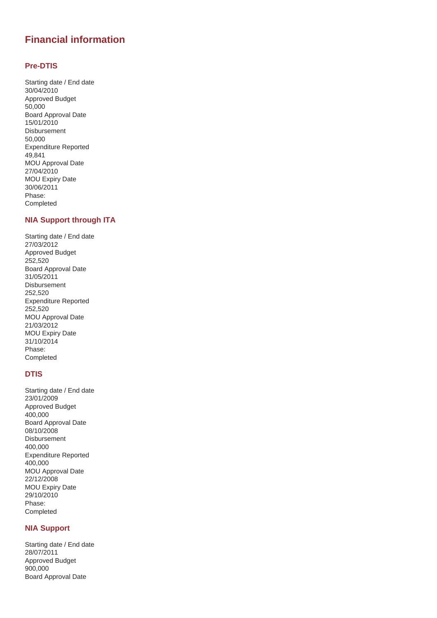# **Financial information**

#### **Pre-DTIS**

Starting date / End date 30/04/2010 Approved Budget 50,000 Board Approval Date 15/01/2010 Disbursement 50,000 Expenditure Reported 49,841 MOU Approval Date 27/04/2010 MOU Expiry Date 30/06/2011 Phase: Completed

### **NIA Support through ITA**

Starting date / End date 27/03/2012 Approved Budget 252,520 Board Approval Date 31/05/2011 Disbursement 252,520 Expenditure Reported 252,520 MOU Approval Date 21/03/2012 MOU Expiry Date 31/10/2014 Phase: Completed

## **DTIS**

Starting date / End date 23/01/2009 Approved Budget 400,000 Board Approval Date 08/10/2008 Disbursement 400,000 Expenditure Reported 400,000 MOU Approval Date 22/12/2008 MOU Expiry Date 29/10/2010 Phase: Completed

## **NIA Support**

Starting date / End date 28/07/2011 Approved Budget 900,000 Board Approval Date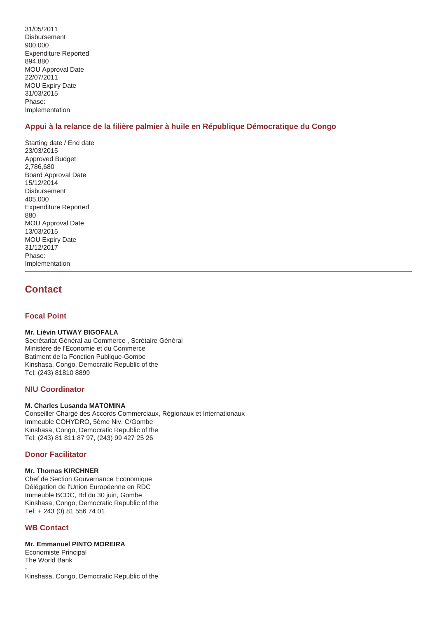31/05/2011 Disbursement 900,000 Expenditure Reported 894,880 MOU Approval Date 22/07/2011 MOU Expiry Date 31/03/2015 Phase: Implementation

## **Appui à la relance de la filière palmier à huile en République Démocratique du Congo**

Starting date / End date 23/03/2015 Approved Budget 2,786,680 Board Approval Date 15/12/2014 **Disbursement** 405,000 Expenditure Reported 880 MOU Approval Date 13/03/2015 MOU Expiry Date 31/12/2017 Phase: Implementation

## **Contact**

### **Focal Point**

#### **Mr. Liévin UTWAY BIGOFALA**

Secrétariat Général au Commerce , Scrétaire Général Ministère de l'Economie et du Commerce Batiment de la Fonction Publique-Gombe Kinshasa, Congo, Democratic Republic of the Tel: (243) 81810 8899

#### **NIU Coordinator**

#### **M. Charles Lusanda MATOMINA**

Conseiller Chargé des Accords Commerciaux, Régionaux et Internationaux Immeuble COHYDRO, 5ème Niv. C/Gombe Kinshasa, Congo, Democratic Republic of the Tel: (243) 81 811 87 97, (243) 99 427 25 26

#### **Donor Facilitator**

#### **Mr. Thomas KIRCHNER**

Chef de Section Gouvernance Economique Délégation de l'Union Européenne en RDC Immeuble BCDC, Bd du 30 juin, Gombe Kinshasa, Congo, Democratic Republic of the Tel: + 243 (0) 81 556 74 01

#### **WB Contact**

#### **Mr. Emmanuel PINTO MOREIRA**

Economiste Principal The World Bank - Kinshasa, Congo, Democratic Republic of the